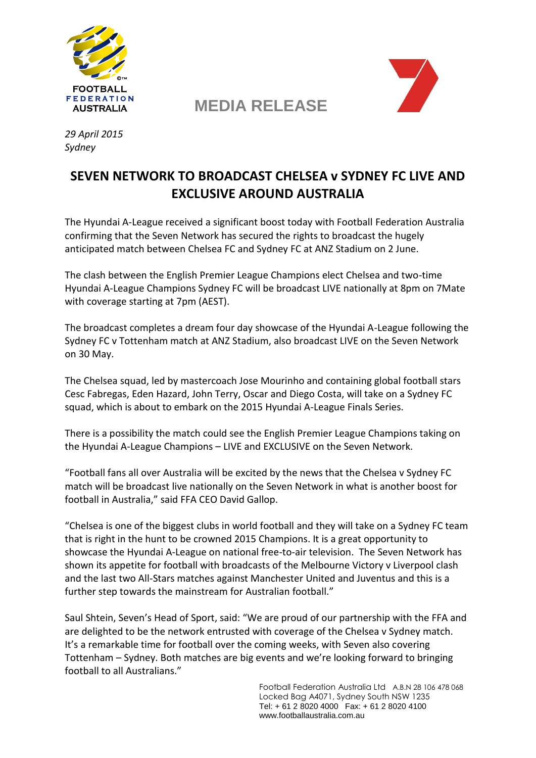

**MEDIA RELEASE**



*29 April 2015 Sydney*

## **SEVEN NETWORK TO BROADCAST CHELSEA v SYDNEY FC LIVE AND EXCLUSIVE AROUND AUSTRALIA**

The Hyundai A-League received a significant boost today with Football Federation Australia confirming that the Seven Network has secured the rights to broadcast the hugely anticipated match between Chelsea FC and Sydney FC at ANZ Stadium on 2 June.

The clash between the English Premier League Champions elect Chelsea and two-time Hyundai A-League Champions Sydney FC will be broadcast LIVE nationally at 8pm on 7Mate with coverage starting at 7pm (AEST).

The broadcast completes a dream four day showcase of the Hyundai A-League following the Sydney FC v Tottenham match at ANZ Stadium, also broadcast LIVE on the Seven Network on 30 May.

The Chelsea squad, led by mastercoach Jose Mourinho and containing global football stars Cesc Fabregas, Eden Hazard, John Terry, Oscar and Diego Costa, will take on a Sydney FC squad, which is about to embark on the 2015 Hyundai A-League Finals Series.

There is a possibility the match could see the English Premier League Champions taking on the Hyundai A-League Champions – LIVE and EXCLUSIVE on the Seven Network.

"Football fans all over Australia will be excited by the news that the Chelsea v Sydney FC match will be broadcast live nationally on the Seven Network in what is another boost for football in Australia," said FFA CEO David Gallop.

"Chelsea is one of the biggest clubs in world football and they will take on a Sydney FC team that is right in the hunt to be crowned 2015 Champions. It is a great opportunity to showcase the Hyundai A-League on national free-to-air television. The Seven Network has shown its appetite for football with broadcasts of the Melbourne Victory v Liverpool clash and the last two All-Stars matches against Manchester United and Juventus and this is a further step towards the mainstream for Australian football."

Saul Shtein, Seven's Head of Sport, said: "We are proud of our partnership with the FFA and are delighted to be the network entrusted with coverage of the Chelsea v Sydney match. It's a remarkable time for football over the coming weeks, with Seven also covering Tottenham – Sydney. Both matches are big events and we're looking forward to bringing football to all Australians."

> Football Federation Australia Ltd A.B.N 28 106 478 068 Locked Bag A4071, Sydney South NSW 1235 Tel: + 61 2 8020 4000 Fax: + 61 2 8020 4100 www.footballaustralia.com.au